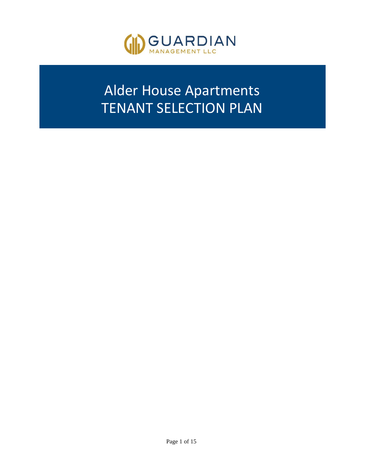

# Alder House Apartments TENANT SELECTION PLAN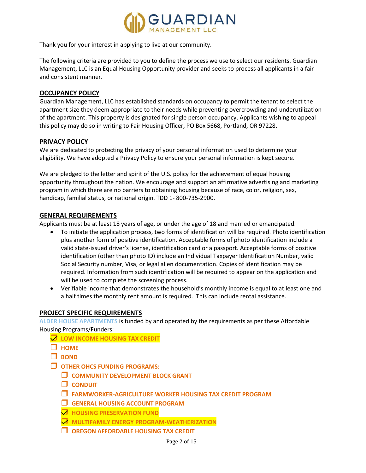

Thank you for your interest in applying to live at our community.

The following criteria are provided to you to define the process we use to select our residents. Guardian Management, LLC is an Equal Housing Opportunity provider and seeks to process all applicants in a fair and consistent manner.

### **OCCUPANCY POLICY**

Guardian Management, LLC has established standards on occupancy to permit the tenant to select the apartment size they deem appropriate to their needs while preventing overcrowding and underutilization of the apartment. This property is designated for single person occupancy. Applicants wishing to appeal this policy may do so in writing to Fair Housing Officer, PO Box 5668, Portland, OR 97228.

#### **PRIVACY POLICY**

We are dedicated to protecting the privacy of your personal information used to determine your eligibility. We have adopted a Privacy Policy to ensure your personal information is kept secure.

We are pledged to the letter and spirit of the U.S. policy for the achievement of equal housing opportunity throughout the nation. We encourage and support an affirmative advertising and marketing program in which there are no barriers to obtaining housing because of race, color, religion, sex, handicap, familial status, or national origin. TDD 1- 800-735-2900.

#### **GENERAL REQUIREMENTS**

Applicants must be at least 18 years of age, or under the age of 18 and married or emancipated.

- To initiate the application process, two forms of identification will be required. Photo identification plus another form of positive identification. Acceptable forms of photo identification include a valid state-issued driver's license, identification card or a passport. Acceptable forms of positive identification (other than photo ID) include an Individual Taxpayer Identification Number, valid Social Security number, Visa, or legal alien documentation. Copies of identification may be required. Information from such identification will be required to appear on the application and will be used to complete the screening process.
- Verifiable income that demonstrates the household's monthly income is equal to at least one and a half times the monthly rent amount is required. This can include rental assistance.

# **PROJECT SPECIFIC REQUIREMENTS**

**ALDER HOUSE APARTMENTS** is funded by and operated by the requirements as per these Affordable Housing Programs/Funders:

- **LOW INCOME HOUSING TAX CREDIT**
- **HOME**
- **H** BOND
- **OTHER OHCS FUNDING PROGRAMS:**
	- **COMMUNITY DEVELOPMENT BLOCK GRANT**
	- **CONDUIT**
	- **FARMWORKER-AGRICULTURE WORKER HOUSING TAX CREDIT PROGRAM**
	- **GENERAL HOUSING ACCOUNT PROGRAM**
	- **HOUSING PRESERVATION FUND**
	- **MULTIFAMILY ENERGY PROGRAM-WEATHERIZATION**
	- **OREGON AFFORDABLE HOUSING TAX CREDIT**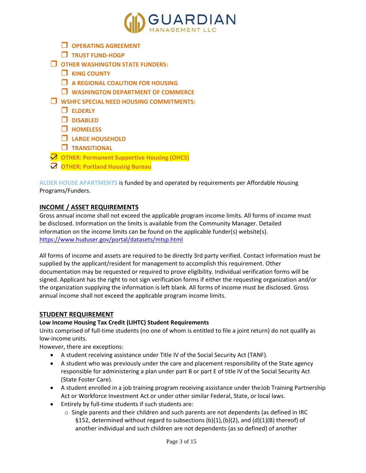

- **OPERATING AGREEMENT**
- **TRUST FUND-HDGP**
- **OTHER WASHINGTON STATE FUNDERS:**
	- **NUME COUNTY**
	- **A REGIONAL COALITION FOR HOUSING**
	- **WASHINGTON DEPARTMENT OF COMMERCE**
- **WSHFC SPECIAL NEED HOUSING COMMITMENTS:**
	- **ELDERLY**
	- **DISABLED**
	- **HOMELESS**
	- **LARGE HOUSEHOLD**
	- **TRANSITIONAL**
- **OTHER: Permanent Supportive Housing (OHCS)**
- **OTHER: Portland Housing Bureau**

**ALDER HOUSE APARTMENTS** is funded by and operated by requirements per Affordable Housing Programs/Funders.

# **INCOME / ASSET REQUIREMENTS**

Gross annual income shall not exceed the applicable program income limits. All forms of income must be disclosed. Information on the limits is available from the Community Manager. Detailed information on the income limits can be found on the applicable funder(s) website(s). <https://www.huduser.gov/portal/datasets/mtsp.html>

All forms of income and assets are required to be directly 3rd party verified. Contact information must be supplied by the applicant/resident for management to accomplish this requirement. Other documentation may be requested or required to prove eligibility. Individual verification forms will be signed. Applicant has the right to not sign verification forms if either the requesting organization and/or the organization supplying the information is left blank. All forms of income must be disclosed. Gross annual income shall not exceed the applicable program income limits.

# **STUDENT REQUIREMENT**

# **Low Income Housing Tax Credit (LIHTC) Student Requirements**

Units comprised of full-time students (no one of whom is entitled to file a joint return) do not qualify as low-income units.

However, there are exceptions:

- A student receiving assistance under Title IV of the Social Security Act (TANF).
- A student who was previously under the care and placement responsibility of the State agency responsible for administering a plan under part B or part E of title IV of the Social Security Act (State Foster Care).
- A student enrolled in a job training program receiving assistance under theJob Training Partnership Act or Workforce Investment Act or under other similar Federal, State, or local laws.
- Entirely by full-time students if such students are:
	- $\circ$  Single parents and their children and such parents are not dependents (as defined in IRC §152, determined without regard to subsections (b)(1),(b)(2), and (d)(1)(B) thereof) of another individual and such children are not dependents (as so defined) of another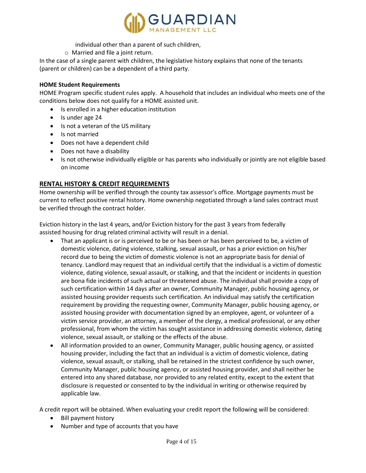

individual other than a parent of such children,

o Married and file a joint return.

In the case of a single parent with children, the legislative history explains that none of the tenants (parent or children) can be a dependent of a third party.

#### **HOME Student Requirements**

HOME Program specific student rules apply. A household that includes an individual who meets one of the conditions below does not qualify for a HOME assisted unit.

- Is enrolled in a higher education institution
- Is under age 24
- Is not a veteran of the US military
- Is not married
- Does not have a dependent child
- Does not have a disability
- Is not otherwise individually eligible or has parents who individually or jointly are not eligible based on income

# **RENTAL HISTORY & CREDIT REQUIREMENTS**

Home ownership will be verified through the county tax assessor's office. Mortgage payments must be current to reflect positive rental history. Home ownership negotiated through a land sales contract must be verified through the contract holder.

Eviction history in the last 4 years, and/or Eviction history for the past 3 years from federally assisted housing for drug related criminal activity will result in a denial.

- That an applicant is or is perceived to be or has been or has been perceived to be, a victim of domestic violence, dating violence, stalking, sexual assault, or has a prior eviction on his/her record due to being the victim of domestic violence is not an appropriate basis for denial of tenancy. Landlord may request that an individual certify that the individual is a victim of domestic violence, dating violence, sexual assault, or stalking, and that the incident or incidents in question are bona fide incidents of such actual or threatened abuse. The individual shall provide a copy of such certification within 14 days after an owner, Community Manager, public housing agency, or assisted housing provider requests such certification. An individual may satisfy the certification requirement by providing the requesting owner, Community Manager, public housing agency, or assisted housing provider with documentation signed by an employee, agent, or volunteer of a victim service provider, an attorney, a member of the clergy, a medical professional, or any other professional, from whom the victim has sought assistance in addressing domestic violence, dating violence, sexual assault, or stalking or the effects of the abuse.
- All information provided to an owner, Community Manager, public housing agency, or assisted housing provider, including the fact that an individual is a victim of domestic violence, dating violence, sexual assault, or stalking, shall be retained in the strictest confidence by such owner, Community Manager, public housing agency, or assisted housing provider, and shall neither be entered into any shared database, nor provided to any related entity, except to the extent that disclosure is requested or consented to by the individual in writing or otherwise required by applicable law.

A credit report will be obtained. When evaluating your credit report the following will be considered:

- Bill payment history
- Number and type of accounts that you have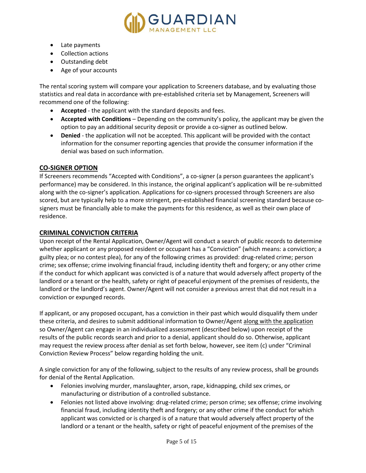

- Late payments
- Collection actions
- Outstanding debt
- Age of your accounts

The rental scoring system will compare your application to Screeners database, and by evaluating those statistics and real data in accordance with pre-established criteria set by Management, Screeners will recommend one of the following:

- **Accepted** the applicant with the standard deposits and fees.
- **Accepted with Conditions** Depending on the community's policy, the applicant may be given the option to pay an additional security deposit or provide a co-signer as outlined below.
- **Denied**  the application will not be accepted. This applicant will be provided with the contact information for the consumer reporting agencies that provide the consumer information if the denial was based on such information.

# **CO-SIGNER OPTION**

If Screeners recommends "Accepted with Conditions", a co-signer (a person guarantees the applicant's performance) may be considered. In this instance, the original applicant's application will be re-submitted along with the co-signer's application. Applications for co-signers processed through Screeners are also scored, but are typically help to a more stringent, pre-established financial screening standard because cosigners must be financially able to make the payments for this residence, as well as their own place of residence.

# **CRIMINAL CONVICTION CRITERIA**

Upon receipt of the Rental Application, Owner/Agent will conduct a search of public records to determine whether applicant or any proposed resident or occupant has a "Conviction" (which means: a conviction; a guilty plea; or no contest plea), for any of the following crimes as provided: drug-related crime; person crime; sex offense; crime involving financial fraud, including identity theft and forgery; or any other crime if the conduct for which applicant was convicted is of a nature that would adversely affect property of the landlord or a tenant or the health, safety or right of peaceful enjoyment of the premises of residents, the landlord or the landlord's agent. Owner/Agent will not consider a previous arrest that did not result in a conviction or expunged records.

If applicant, or any proposed occupant, has a conviction in their past which would disqualify them under these criteria, and desires to submit additional information to Owner/Agent along with the application so Owner/Agent can engage in an individualized assessment (described below) upon receipt of the results of the public records search and prior to a denial, applicant should do so. Otherwise, applicant may request the review process after denial as set forth below, however, see item (c) under "Criminal Conviction Review Process" below regarding holding the unit.

A single conviction for any of the following, subject to the results of any review process, shall be grounds for denial of the Rental Application.

- Felonies involving murder, manslaughter, arson, rape, kidnapping, child sex crimes, or manufacturing or distribution of a controlled substance.
- Felonies not listed above involving: drug-related crime; person crime; sex offense; crime involving financial fraud, including identity theft and forgery; or any other crime if the conduct for which applicant was convicted or is charged is of a nature that would adversely affect property of the landlord or a tenant or the health, safety or right of peaceful enjoyment of the premises of the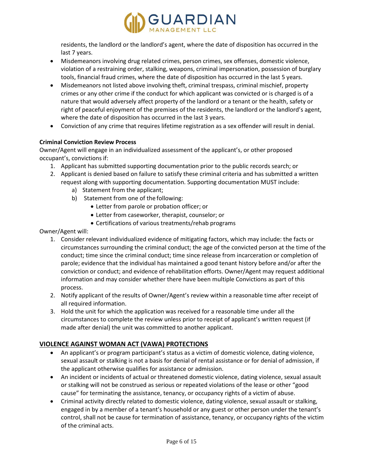

residents, the landlord or the landlord's agent, where the date of disposition has occurred in the last 7 years.

- Misdemeanors involving drug related crimes, person crimes, sex offenses, domestic violence, violation of a restraining order, stalking, weapons, criminal impersonation, possession of burglary tools, financial fraud crimes, where the date of disposition has occurred in the last 5 years.
- Misdemeanors not listed above involving theft, criminal trespass, criminal mischief, property crimes or any other crime if the conduct for which applicant was convicted or is charged is of a nature that would adversely affect property of the landlord or a tenant or the health, safety or right of peaceful enjoyment of the premises of the residents, the landlord or the landlord's agent, where the date of disposition has occurred in the last 3 years.
- Conviction of any crime that requires lifetime registration as a sex offender will result in denial.

# **Criminal Conviction Review Process**

Owner/Agent will engage in an individualized assessment of the applicant's, or other proposed occupant's, convictions if:

- 1. Applicant has submitted supporting documentation prior to the public records search; or
- 2. Applicant is denied based on failure to satisfy these criminal criteria and has submitted a written request along with supporting documentation. Supporting documentation MUST include:
	- a) Statement from the applicant;
	- b) Statement from one of the following:
		- Letter from parole or probation officer; or
		- Letter from caseworker, therapist, counselor; or
		- Certifications of various treatments/rehab programs

Owner/Agent will:

- 1. Consider relevant individualized evidence of mitigating factors, which may include: the facts or circumstances surrounding the criminal conduct; the age of the convicted person at the time of the conduct; time since the criminal conduct; time since release from incarceration or completion of parole; evidence that the individual has maintained a good tenant history before and/or after the conviction or conduct; and evidence of rehabilitation efforts. Owner/Agent may request additional information and may consider whether there have been multiple Convictions as part of this process.
- 2. Notify applicant of the results of Owner/Agent's review within a reasonable time after receipt of all required information.
- 3. Hold the unit for which the application was received for a reasonable time under all the circumstances to complete the review unless prior to receipt of applicant's written request (if made after denial) the unit was committed to another applicant.

# **VIOLENCE AGAINST WOMAN ACT (VAWA) PROTECTIONS**

- An applicant's or program participant's status as a victim of domestic violence, dating violence, sexual assault or stalking is not a basis for denial of rental assistance or for denial of admission, if the applicant otherwise qualifies for assistance or admission.
- An incident or incidents of actual or threatened domestic violence, dating violence, sexual assault or stalking will not be construed as serious or repeated violations of the lease or other "good cause" for terminating the assistance, tenancy, or occupancy rights of a victim of abuse.
- Criminal activity directly related to domestic violence, dating violence, sexual assault or stalking, engaged in by a member of a tenant's household or any guest or other person under the tenant's control, shall not be cause for termination of assistance, tenancy, or occupancy rights of the victim of the criminal acts.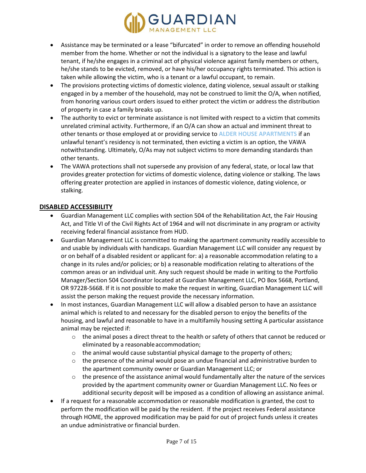

- Assistance may be terminated or a lease "bifurcated" in order to remove an offending household member from the home. Whether or not the individual is a signatory to the lease and lawful tenant, if he/she engages in a criminal act of physical violence against family members or others, he/she stands to be evicted, removed, or have his/her occupancy rights terminated. This action is taken while allowing the victim, who is a tenant or a lawful occupant, to remain.
- The provisions protecting victims of domestic violence, dating violence, sexual assault or stalking engaged in by a member of the household, may not be construed to limit the O/A, when notified, from honoring various court orders issued to either protect the victim or address the distribution of property in case a family breaks up.
- The authority to evict or terminate assistance is not limited with respect to a victim that commits unrelated criminal activity. Furthermore, if an O/A can show an actual and imminent threat to other tenants or those employed at or providing service to **ALDER HOUSE APARTMENTS** if an unlawful tenant's residency is not terminated, then evicting a victim is an option, the VAWA notwithstanding. Ultimately, O/As may not subject victims to more demanding standards than other tenants.
- The VAWA protections shall not supersede any provision of any federal, state, or local law that provides greater protection for victims of domestic violence, dating violence or stalking. The laws offering greater protection are applied in instances of domestic violence, dating violence, or stalking.

#### **DISABLED ACCESSIBILITY**

- Guardian Management LLC complies with section 504 of the Rehabilitation Act, the Fair Housing Act, and Title VI of the Civil Rights Act of 1964 and will not discriminate in any program or activity receiving federal financial assistance from HUD.
- Guardian Management LLC is committed to making the apartment community readily accessible to and usable by individuals with handicaps. Guardian Management LLC will consider any request by or on behalf of a disabled resident or applicant for: a) a reasonable accommodation relating to a change in its rules and/or policies; or b) a reasonable modification relating to alterations of the common areas or an individual unit. Any such request should be made in writing to the Portfolio Manager/Section 504 Coordinator located at Guardian Management LLC, PO Box 5668, Portland, OR 97228-5668. If it is not possible to make the request in writing, Guardian Management LLC will assist the person making the request provide the necessary information.
- In most instances, Guardian Management LLC will allow a disabled person to have an assistance animal which is related to and necessary for the disabled person to enjoy the benefits of the housing, and lawful and reasonable to have in a multifamily housing setting A particular assistance animal may be rejected if:
	- $\circ$  the animal poses a direct threat to the health or safety of others that cannot be reduced or eliminated by a reasonableaccommodation;
	- $\circ$  the animal would cause substantial physical damage to the property of others;
	- $\circ$  the presence of the animal would pose an undue financial and administrative burden to the apartment community owner or Guardian Management LLC; or
	- $\circ$  the presence of the assistance animal would fundamentally alter the nature of the services provided by the apartment community owner or Guardian Management LLC. No fees or additional security deposit will be imposed as a condition of allowing an assistance animal.
- If a request for a reasonable accommodation or reasonable modification is granted, the cost to perform the modification will be paid by the resident. If the project receives Federal assistance through HOME, the approved modification may be paid for out of project funds unless it creates an undue administrative or financial burden.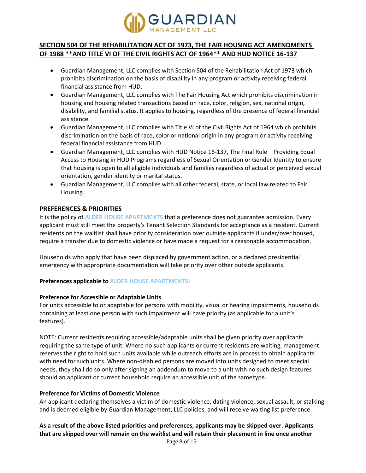

# **SECTION 504 OF THE REHABILITATION ACT OF 1973, THE FAIR HOUSING ACT AMENDMENTS OF 1988 \*\*AND TITLE VI OF THE CIVIL RIGHTS ACT OF 1964\*\* AND HUD NOTICE 16-137**

- Guardian Management, LLC complies with Section 504 of the Rehabilitation Act of 1973 which prohibits discrimination on the basis of disability in any program or activity receiving federal financial assistance from HUD.
- Guardian Management, LLC complies with The Fair Housing Act which prohibits discrimination in housing and housing related transactions based on race, color, religion, sex, national origin, disability, and familial status. It applies to housing, regardless of the presence of federal financial assistance.
- Guardian Management, LLC complies with Title VI of the Civil Rights Act of 1964 which prohibits discrimination on the basis of race, color or national origin in any program or activity receiving federal financial assistance from HUD.
- Guardian Management, LLC complies with HUD Notice 16-137, The Final Rule Providing Equal Access to Housing in HUD Programs regardless of Sexual Orientation or Gender Identity to ensure that housing is open to all eligible individuals and families regardless of actual or perceived sexual orientation, gender identity or marital status.
- Guardian Management, LLC complies with all other federal, state, or local law related to Fair Housing.

# **PREFERENCES & PRIORITIES**

It is the policy of **ALDER HOUSE APARTMENTS** that a preference does not guarantee admission. Every applicant must still meet the property's Tenant Selection Standards for acceptance as a resident. Current residents on the waitlist shall have priority consideration over outside applicants if under/over housed, require a transfer due to domestic violence or have made a request for a reasonable accommodation.

Households who apply that have been displaced by government action, or a declared presidential emergency with appropriate documentation will take priority over other outside applicants.

# **Preferences applicable to ALDER HOUSE APARTMENTS:**

# **Preference for Accessible or Adaptable Units**

For units accessible to or adaptable for persons with mobility, visual or hearing impairments, households containing at least one person with such impairment will have priority (as applicable for a unit's features).

NOTE: Current residents requiring accessible/adaptable units shall be given priority over applicants requiring the same type of unit. Where no such applicants or current residents are waiting, management reserves the right to hold such units available while outreach efforts are in process to obtain applicants with need for such units. Where non-disabled persons are moved into units designed to meet special needs, they shall do so only after signing an addendum to move to a unit with no such design features should an applicant or current household require an accessible unit of the sametype.

# **Preference for Victims of Domestic Violence**

An applicant declaring themselves a victim of domestic violence, dating violence, sexual assault, or stalking and is deemed eligible by Guardian Management, LLC policies, and will receive waiting list preference.

# **As a result of the above listed priorities and preferences, applicants may be skipped over. Applicants that are skipped over will remain on the waitlist and will retain their placement in line once another**

Page 8 of 15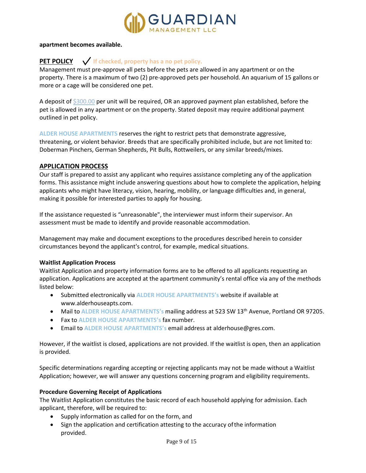

#### **apartment becomes available.**

# **PET POLICY If checked, property has a no pet policy.**

Management must pre-approve all pets before the pets are allowed in any apartment or on the property. There is a maximum of two (2) pre-approved pets per household. An aquarium of 15 gallons or more or a cage will be considered one pet.

A deposit of \$300.00 per unit will be required, OR an approved payment plan established, before the pet is allowed in any apartment or on the property. Stated deposit may require additional payment outlined in pet policy.

**ALDER HOUSE APARTMENTS** reserves the right to restrict pets that demonstrate aggressive, threatening, or violent behavior. Breeds that are specifically prohibited include, but are not limited to: Doberman Pinchers, German Shepherds, Pit Bulls, Rottweilers, or any similar breeds/mixes.

#### **APPLICATION PROCESS**

Our staff is prepared to assist any applicant who requires assistance completing any of the application forms. This assistance might include answering questions about how to complete the application, helping applicants who might have literacy, vision, hearing, mobility, or language difficulties and, in general, making it possible for interested parties to apply for housing.

If the assistance requested is "unreasonable", the interviewer must inform their supervisor. An assessment must be made to identify and provide reasonable accommodation.

Management may make and document exceptions to the procedures described herein to consider circumstances beyond the applicant's control, for example, medical situations.

#### **Waitlist Application Process**

Waitlist Application and property information forms are to be offered to all applicants requesting an application. Applications are accepted at the apartment community's rental office via any of the methods listed below:

- Submitted electronically via **ALDER HOUSE APARTMENTS's** website if available at www.alderhouseapts.com.
- Mail to **ALDER HOUSE APARTMENTS's** mailing address at 523 SW 13th Avenue, Portland OR 97205.
- Fax to **ALDER HOUSE APARTMENTS's** fax number.
- Email to **ALDER HOUSE APARTMENTS's** email address at alderhouse@gres.com.

However, if the waitlist is closed, applications are not provided. If the waitlist is open, then an application is provided.

Specific determinations regarding accepting or rejecting applicants may not be made without a Waitlist Application; however, we will answer any questions concerning program and eligibility requirements.

#### **Procedure Governing Receipt of Applications**

The Waitlist Application constitutes the basic record of each household applying for admission. Each applicant, therefore, will be required to:

- Supply information as called for on the form, and
- Sign the application and certification attesting to the accuracy ofthe information provided.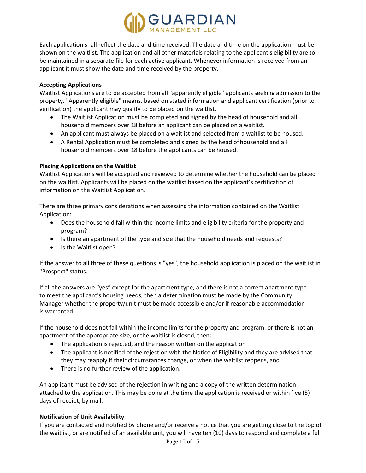

Each application shall reflect the date and time received. The date and time on the application must be shown on the waitlist. The application and all other materials relating to the applicant's eligibility are to be maintained in a separate file for each active applicant. Whenever information is received from an applicant it must show the date and time received by the property.

#### **Accepting Applications**

Waitlist Applications are to be accepted from all "apparently eligible" applicants seeking admission to the property. "Apparently eligible" means, based on stated information and applicant certification (prior to verification) the applicant may qualify to be placed on the waitlist.

- The Waitlist Application must be completed and signed by the head of household and all household members over 18 before an applicant can be placed on a waitlist.
- An applicant must always be placed on a waitlist and selected from a waitlist to be housed.
- A Rental Application must be completed and signed by the head of household and all household members over 18 before the applicants can be housed.

#### **Placing Applications on the Waitlist**

Waitlist Applications will be accepted and reviewed to determine whether the household can be placed on the waitlist. Applicants will be placed on the waitlist based on the applicant's certification of information on the Waitlist Application.

There are three primary considerations when assessing the information contained on the Waitlist Application:

- Does the household fall within the income limits and eligibility criteria for the property and program?
- Is there an apartment of the type and size that the household needs and requests?
- Is the Waitlist open?

If the answer to all three of these questions is "yes", the household application is placed on the waitlist in "Prospect" status.

If all the answers are "yes" except for the apartment type, and there is not a correct apartment type to meet the applicant's housing needs, then a determination must be made by the Community Manager whether the property/unit must be made accessible and/or if reasonable accommodation is warranted.

If the household does not fall within the income limits for the property and program, or there is not an apartment of the appropriate size, or the waitlist is closed, then:

- The application is rejected, and the reason written on the application
- The applicant is notified of the rejection with the Notice of Eligibility and they are advised that they may reapply if their circumstances change, or when the waitlist reopens, and
- There is no further review of the application.

An applicant must be advised of the rejection in writing and a copy of the written determination attached to the application. This may be done at the time the application is received or within five (5) days of receipt, by mail.

#### **Notification of Unit Availability**

If you are contacted and notified by phone and/or receive a notice that you are getting close to the top of the waitlist, or are notified of an available unit, you will have ten (10) days to respond and complete a full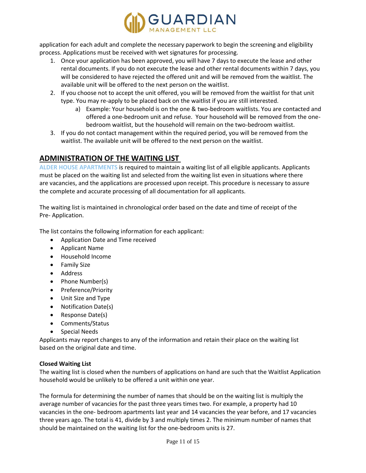

application for each adult and complete the necessary paperwork to begin the screening and eligibility process. Applications must be received with wet signatures for processing.

- 1. Once your application has been approved, you will have 7 days to execute the lease and other rental documents. If you do not execute the lease and other rental documents within 7 days, you will be considered to have rejected the offered unit and will be removed from the waitlist. The available unit will be offered to the next person on the waitlist.
- 2. If you choose not to accept the unit offered, you will be removed from the waitlist for that unit type. You may re-apply to be placed back on the waitlist if you are still interested.
	- a) Example: Your household is on the one & two-bedroom waitlists. You are contacted and offered a one-bedroom unit and refuse. Your household will be removed from the onebedroom waitlist, but the household will remain on the two-bedroom waitlist.
- 3. If you do not contact management within the required period, you will be removed from the waitlist. The available unit will be offered to the next person on the waitlist.

# **ADMINISTRATION OF THE WAITING LIST**

**ALDER HOUSE APARTMENTS** is required to maintain a waiting list of all eligible applicants. Applicants must be placed on the waiting list and selected from the waiting list even in situations where there are vacancies, and the applications are processed upon receipt. This procedure is necessary to assure the complete and accurate processing of all documentation for all applicants.

The waiting list is maintained in chronological order based on the date and time of receipt of the Pre- Application.

The list contains the following information for each applicant:

- Application Date and Time received
- Applicant Name
- Household Income
- Family Size
- Address
- Phone Number(s)
- Preference/Priority
- Unit Size and Type
- Notification Date(s)
- Response Date(s)
- Comments/Status
- Special Needs

Applicants may report changes to any of the information and retain their place on the waiting list based on the original date and time.

# **Closed Waiting List**

The waiting list is closed when the numbers of applications on hand are such that the Waitlist Application household would be unlikely to be offered a unit within one year.

The formula for determining the number of names that should be on the waiting list is multiply the average number of vacancies for the past three years times two. For example, a property had 10 vacancies in the one- bedroom apartments last year and 14 vacancies the year before, and 17 vacancies three years ago. The total is 41, divide by 3 and multiply times 2. The minimum number of names that should be maintained on the waiting list for the one-bedroom units is 27.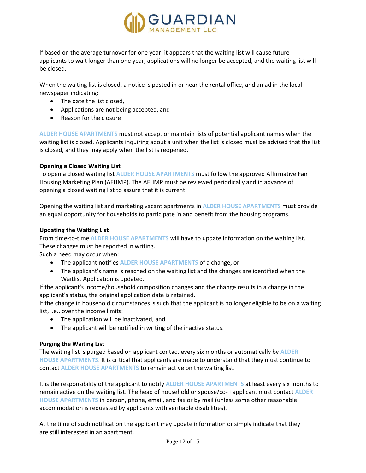

If based on the average turnover for one year, it appears that the waiting list will cause future applicants to wait longer than one year, applications will no longer be accepted, and the waiting list will be closed.

When the waiting list is closed, a notice is posted in or near the rental office, and an ad in the local newspaper indicating:

- The date the list closed,
- Applications are not being accepted, and
- Reason for the closure

**ALDER HOUSE APARTMENTS** must not accept or maintain lists of potential applicant names when the waiting list is closed. Applicants inquiring about a unit when the list is closed must be advised that the list is closed, and they may apply when the list is reopened.

#### **Opening a Closed Waiting List**

To open a closed waiting list **ALDER HOUSE APARTMENTS** must follow the approved Affirmative Fair Housing Marketing Plan (AFHMP). The AFHMP must be reviewed periodically and in advance of opening a closed waiting list to assure that it is current.

Opening the waiting list and marketing vacant apartments in **ALDER HOUSE APARTMENTS** must provide an equal opportunity for households to participate in and benefit from the housing programs.

#### **Updating the Waiting List**

From time-to-time **ALDER HOUSE APARTMENTS** will have to update information on the waiting list. These changes must be reported in writing.

Such a need may occur when:

- The applicant notifies **ALDER HOUSE APARTMENTS** of a change, or
- The applicant's name is reached on the waiting list and the changes are identified when the Waitlist Application is updated.

If the applicant's income/household composition changes and the change results in a change in the applicant's status, the original application date is retained.

If the change in household circumstances is such that the applicant is no longer eligible to be on a waiting list, i.e., over the income limits:

- The application will be inactivated, and
- The applicant will be notified in writing of the inactive status.

#### **Purging the Waiting List**

The waiting list is purged based on applicant contact every six months or automatically by **ALDER HOUSE APARTMENTS**. It is critical that applicants are made to understand that they must continue to contact **ALDER HOUSE APARTMENTS** to remain active on the waiting list.

It is the responsibility of the applicant to notify **ALDER HOUSE APARTMENTS** at least every six months to remain active on the waiting list. The head of household or spouse/co- +applicant must contact **ALDER HOUSE APARTMENTS** in person, phone, email, and fax or by mail (unless some other reasonable accommodation is requested by applicants with verifiable disabilities).

At the time of such notification the applicant may update information or simply indicate that they are still interested in an apartment.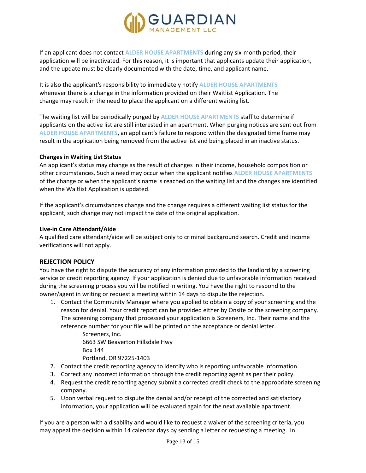

If an applicant does not contact **ALDER HOUSE APARTMENTS** during any six-month period, their application will be inactivated. For this reason, it is important that applicants update their application, and the update must be clearly documented with the date, time, and applicant name.

It is also the applicant's responsibility to immediately notify **ALDER HOUSE APARTMENTS** whenever there is a change in the information provided on their Waitlist Application. The change may result in the need to place the applicant on a different waiting list.

The waiting list will be periodically purged by **ALDER HOUSE APARTMENTS** staff to determine if applicants on the active list are still interested in an apartment. When purging notices are sent out from **ALDER HOUSE APARTMENTS**, an applicant's failure to respond within the designated time frame may result in the application being removed from the active list and being placed in an inactive status.

#### **Changes in Waiting List Status**

An applicant's status may change as the result of changes in their income, household composition or other circumstances. Such a need may occur when the applicant notifies **ALDER HOUSE APARTMENTS** of the change or when the applicant's name is reached on the waiting list and the changes are identified when the Waitlist Application is updated.

If the applicant's circumstances change and the change requires a different waiting list status for the applicant, such change may not impact the date of the original application.

#### **Live-in Care Attendant/Aide**

A qualified care attendant/aide will be subject only to criminal background search. Credit and income verifications will not apply.

#### **REJECTION POLICY**

You have the right to dispute the accuracy of any information provided to the landlord by a screening service or credit reporting agency. If your application is denied due to unfavorable information received during the screening process you will be notified in writing. You have the right to respond to the owner/agent in writing or request a meeting within 14 days to dispute the rejection.

1. Contact the Community Manager where you applied to obtain a copy of your screening and the reason for denial. Your credit report can be provided either by Onsite or the screening company. The screening company that processed your application is Screeners, Inc. Their name and the reference number for your file will be printed on the acceptance or denial letter.

> Screeners, Inc. 6663 SW Beaverton Hillsdale Hwy Box 144 Portland, OR 97225-1403

- 2. Contact the credit reporting agency to identify who is reporting unfavorable information.
- 3. Correct any incorrect information through the credit reporting agent as per their policy.
- 4. Request the credit reporting agency submit a corrected credit check to the appropriate screening company.
- 5. Upon verbal request to dispute the denial and/or receipt of the corrected and satisfactory information, your application will be evaluated again for the next available apartment.

If you are a person with a disability and would like to request a waiver of the screening criteria, you may appeal the decision within 14 calendar days by sending a letter or requesting a meeting. In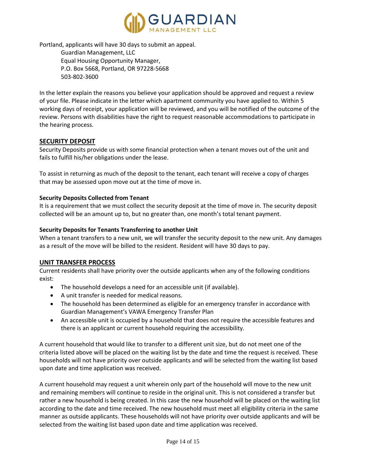

Portland, applicants will have 30 days to submit an appeal.

Guardian Management, LLC Equal Housing Opportunity Manager, P.O. Box 5668, Portland, OR 97228-5668 503-802-3600

In the letter explain the reasons you believe your application should be approved and request a review of your file. Please indicate in the letter which apartment community you have applied to. Within 5 working days of receipt, your application will be reviewed, and you will be notified of the outcome of the review. Persons with disabilities have the right to request reasonable accommodations to participate in the hearing process.

# **SECURITY DEPOSIT**

Security Deposits provide us with some financial protection when a tenant moves out of the unit and fails to fulfill his/her obligations under the lease.

To assist in returning as much of the deposit to the tenant, each tenant will receive a copy of charges that may be assessed upon move out at the time of move in.

#### **Security Deposits Collected from Tenant**

It is a requirement that we must collect the security deposit at the time of move in. The security deposit collected will be an amount up to, but no greater than, one month's total tenant payment.

#### **Security Deposits for Tenants Transferring to another Unit**

When a tenant transfers to a new unit, we will transfer the security deposit to the new unit. Any damages as a result of the move will be billed to the resident. Resident will have 30 days to pay.

# **UNIT TRANSFER PROCESS**

Current residents shall have priority over the outside applicants when any of the following conditions exist:

- The household develops a need for an accessible unit (if available).
- A unit transfer is needed for medical reasons.
- The household has been determined as eligible for an emergency transfer in accordance with Guardian Management's VAWA Emergency Transfer Plan
- An accessible unit is occupied by a household that does not require the accessible features and there is an applicant or current household requiring the accessibility.

A current household that would like to transfer to a different unit size, but do not meet one of the criteria listed above will be placed on the waiting list by the date and time the request is received. These households will not have priority over outside applicants and will be selected from the waiting list based upon date and time application was received.

A current household may request a unit wherein only part of the household will move to the new unit and remaining members will continue to reside in the original unit. This is not considered a transfer but rather a new household is being created. In this case the new household will be placed on the waiting list according to the date and time received. The new household must meet all eligibility criteria in the same manner as outside applicants. These households will not have priority over outside applicants and will be selected from the waiting list based upon date and time application was received.